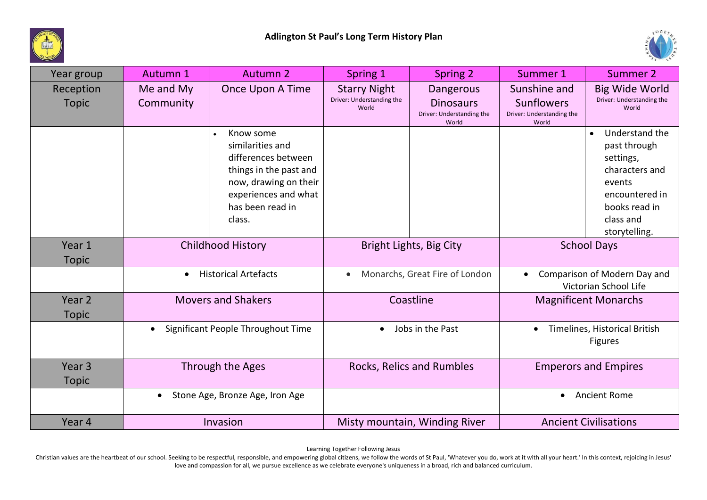



| Year group                        | Autumn 1                                     | Autumn 2                                                                                                                                                                   | Spring 1                                                  | Spring 2                                                                   | Summer 1                                                         | Summer 2                                                                                                                                              |
|-----------------------------------|----------------------------------------------|----------------------------------------------------------------------------------------------------------------------------------------------------------------------------|-----------------------------------------------------------|----------------------------------------------------------------------------|------------------------------------------------------------------|-------------------------------------------------------------------------------------------------------------------------------------------------------|
| Reception<br><b>Topic</b>         | Me and My<br>Community                       | Once Upon A Time                                                                                                                                                           | <b>Starry Night</b><br>Driver: Understanding the<br>World | <b>Dangerous</b><br><b>Dinosaurs</b><br>Driver: Understanding the<br>World | Sunshine and<br>Sunflowers<br>Driver: Understanding the<br>World | <b>Big Wide World</b><br>Driver: Understanding the<br>World                                                                                           |
|                                   |                                              | Know some<br>$\bullet$<br>similarities and<br>differences between<br>things in the past and<br>now, drawing on their<br>experiences and what<br>has been read in<br>class. |                                                           |                                                                            |                                                                  | Understand the<br>$\bullet$<br>past through<br>settings,<br>characters and<br>events<br>encountered in<br>books read in<br>class and<br>storytelling. |
| Year 1<br><b>Topic</b>            | <b>Childhood History</b>                     |                                                                                                                                                                            | Bright Lights, Big City                                   |                                                                            | <b>School Days</b>                                               |                                                                                                                                                       |
|                                   | <b>Historical Artefacts</b><br>$\bullet$     |                                                                                                                                                                            | Monarchs, Great Fire of London<br>$\bullet$               |                                                                            | Comparison of Modern Day and<br>Victorian School Life            |                                                                                                                                                       |
| Year 2<br><b>Topic</b>            | <b>Movers and Shakers</b>                    |                                                                                                                                                                            | Coastline                                                 |                                                                            | <b>Magnificent Monarchs</b>                                      |                                                                                                                                                       |
|                                   | Significant People Throughout Time           |                                                                                                                                                                            | Jobs in the Past<br>$\bullet$                             |                                                                            | Timelines, Historical British<br><b>Figures</b>                  |                                                                                                                                                       |
| Year <sub>3</sub><br><b>Topic</b> | Through the Ages                             |                                                                                                                                                                            | Rocks, Relics and Rumbles                                 |                                                                            | <b>Emperors and Empires</b>                                      |                                                                                                                                                       |
|                                   | Stone Age, Bronze Age, Iron Age<br>$\bullet$ |                                                                                                                                                                            |                                                           |                                                                            | <b>Ancient Rome</b><br>$\bullet$                                 |                                                                                                                                                       |
| Year 4                            | Invasion                                     |                                                                                                                                                                            |                                                           | Misty mountain, Winding River                                              | <b>Ancient Civilisations</b>                                     |                                                                                                                                                       |

Learning Together Following Jesus

Christian values are the heartbeat of our school. Seeking to be respectful, responsible, and empowering global citizens, we follow the words of St Paul, 'Whatever you do, work at it with all your heart.' In this context, r love and compassion for all, we pursue excellence as we celebrate everyone's uniqueness in a broad, rich and balanced curriculum.